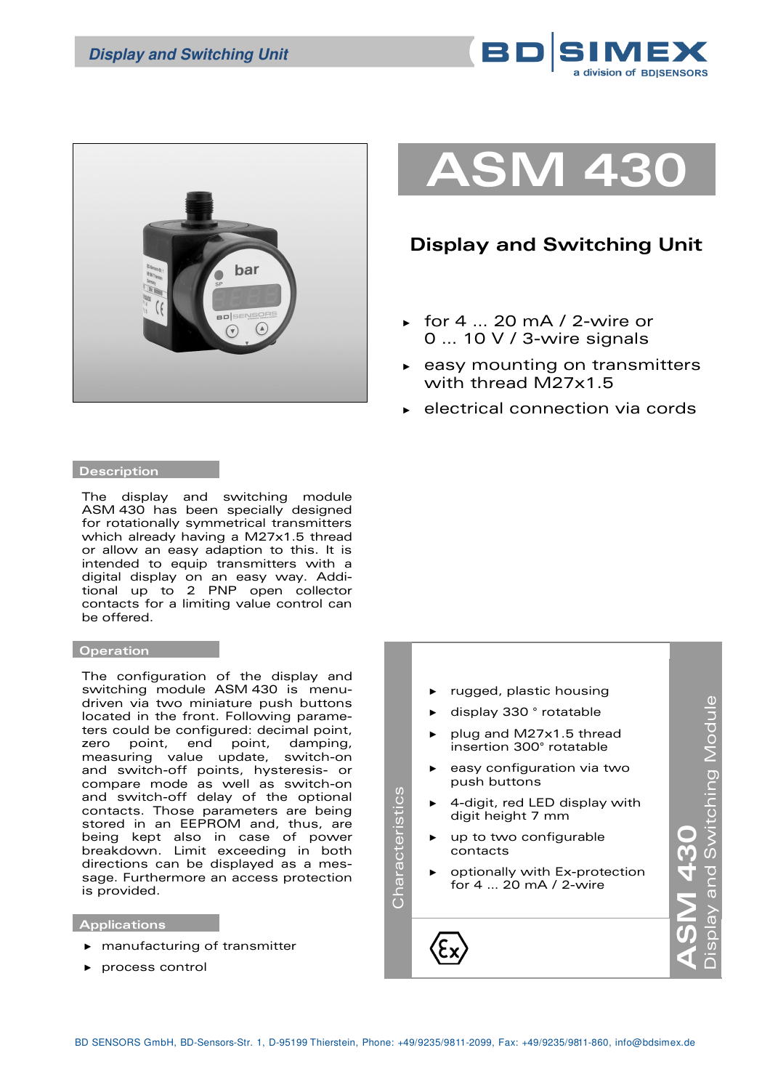



# **ASM 430**

# **Display and Switching Unit**

- ► for 4 … 20 mA / 2-wire or 0 … 10 V / 3-wire signals
- ► easy mounting on transmitters with thread M27x1.5
- electrical connection via cords

#### **Description**

The display and switching module ASM 430 has been specially designed for rotationally symmetrical transmitters which already having a M27x1.5 thread or allow an easy adaption to this. It is intended to equip transmitters with a digital display on an easy way. Additional up to 2 PNP open collector contacts for a limiting value control can be offered.

## **Operation**

The configuration of the display and switching module ASM 430 is menudriven via two miniature push buttons located in the front. Following parameters could be configured: decimal point, zero point, end point, damping, measuring value update, switch-on and switch-off points, hysteresis- or compare mode as well as switch-on and switch-off delay of the optional contacts. Those parameters are being stored in an EEPROM and, thus, are being kept also in case of power breakdown. Limit exceeding in both directions can be displayed as a message. Furthermore an access protection is provided.

### **Applications**

- ► manufacturing of transmitter
- ► process control

rugged, plastic housing Display and Switching Module Display and Switching Module ► display 330 ° rotatable plug and M27x1.5 thread insertion 300° rotatable easy configuration via two push buttons Characteristics Characteristics 4-digit, red LED display with digit height 7 mm **ASM 430 1430**<br>1 up to two configurable contacts ► optionally with Ex-protection for 4 … 20 mA / 2-wire

Œ